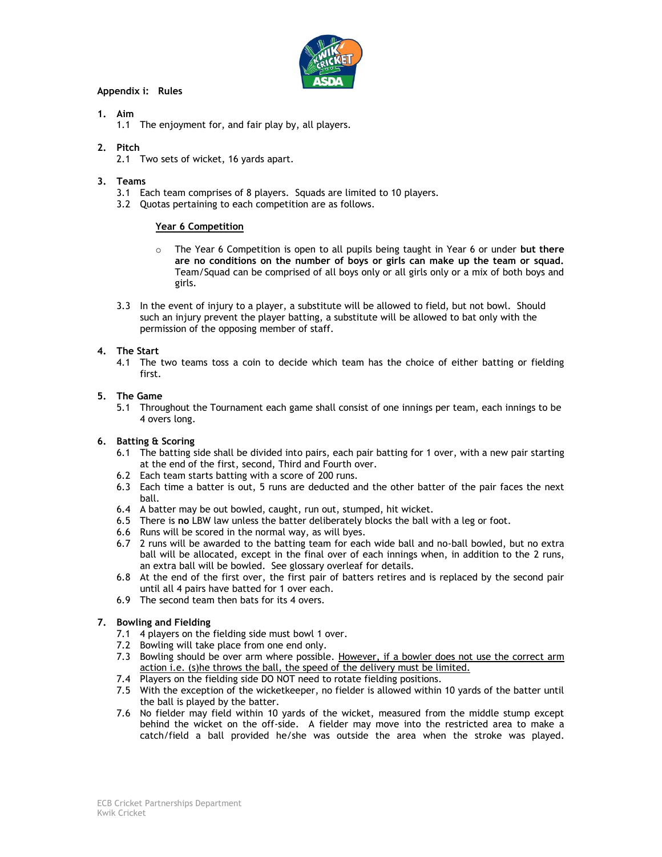

## **Appendix i: Rules**

### **1. Aim**

1.1 The enjoyment for, and fair play by, all players.

### **2. Pitch**

2.1 Two sets of wicket, 16 yards apart.

### **3. Teams**

- 3.1 Each team comprises of 8 players. Squads are limited to 10 players.
- 3.2 Quotas pertaining to each competition are as follows.

# **Year 6 Competition**

- o The Year 6 Competition is open to all pupils being taught in Year 6 or under **but there are no conditions on the number of boys or girls can make up the team or squad.** Team/Squad can be comprised of all boys only or all girls only or a mix of both boys and girls.
- 3.3 In the event of injury to a player, a substitute will be allowed to field, but not bowl. Should such an injury prevent the player batting, a substitute will be allowed to bat only with the permission of the opposing member of staff.

### **4. The Start**

4.1 The two teams toss a coin to decide which team has the choice of either batting or fielding first.

### **5. The Game**

5.1 Throughout the Tournament each game shall consist of one innings per team, each innings to be 4 overs long.

## **6. Batting & Scoring**

- 6.1 The batting side shall be divided into pairs, each pair batting for 1 over, with a new pair starting at the end of the first, second, Third and Fourth over.
- 6.2 Each team starts batting with a score of 200 runs.
- 6.3 Each time a batter is out, 5 runs are deducted and the other batter of the pair faces the next ball.
- 6.4 A batter may be out bowled, caught, run out, stumped, hit wicket.
- 6.5 There is **no** LBW law unless the batter deliberately blocks the ball with a leg or foot.
- 6.6 Runs will be scored in the normal way, as will byes.
- 6.7 2 runs will be awarded to the batting team for each wide ball and no-ball bowled, but no extra ball will be allocated, except in the final over of each innings when, in addition to the 2 runs, an extra ball will be bowled. See glossary overleaf for details.
- 6.8 At the end of the first over, the first pair of batters retires and is replaced by the second pair until all 4 pairs have batted for 1 over each.
- 6.9 The second team then bats for its 4 overs.

# **7. Bowling and Fielding**

- 7.1 4 players on the fielding side must bowl 1 over.
- 7.2 Bowling will take place from one end only.
- 7.3 Bowling should be over arm where possible. However, if a bowler does not use the correct arm action i.e. (s)he throws the ball, the speed of the delivery must be limited.
- 7.4 Players on the fielding side DO NOT need to rotate fielding positions.
- 7.5 With the exception of the wicketkeeper, no fielder is allowed within 10 yards of the batter until the ball is played by the batter.
- 7.6 No fielder may field within 10 yards of the wicket, measured from the middle stump except behind the wicket on the off-side. A fielder may move into the restricted area to make a catch/field a ball provided he/she was outside the area when the stroke was played.